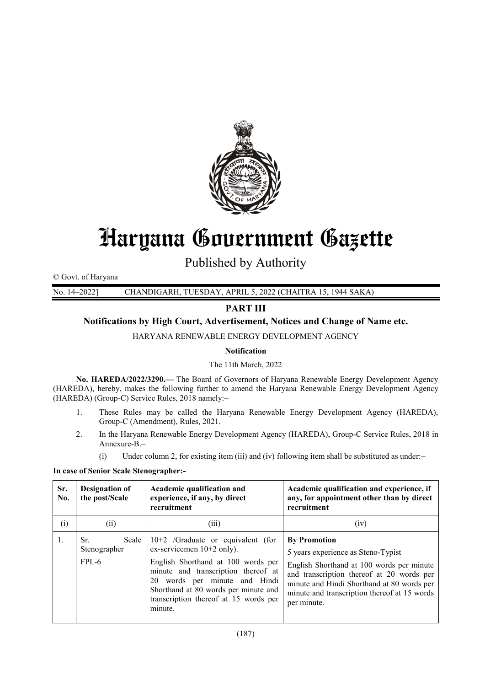

# Haryana Government Gazette

Published by Authority

© Govt. of Haryana

No. 14–2022] CHANDIGARH, TUESDAY, APRIL 5, 2022 (CHAITRA 15, 1944 SAKA)

## **PART III**

## **Notifications by High Court, Advertisement, Notices and Change of Name etc.**

HARYANA RENEWABLE ENERGY DEVELOPMENT AGENCY

## **Notification**

## The 11th March, 2022

**No. HAREDA/2022/3290.—** The Board of Governors of Haryana Renewable Energy Development Agency (HAREDA), hereby, makes the following further to amend the Haryana Renewable Energy Development Agency (HAREDA) (Group-C) Service Rules, 2018 namely:–

- 1. These Rules may be called the Haryana Renewable Energy Development Agency (HAREDA), Group-C (Amendment), Rules, 2021.
- 2. In the Haryana Renewable Energy Development Agency (HAREDA), Group-C Service Rules, 2018 in Annexure-B.–
	- (i) Under column 2, for existing item (iii) and (iv) following item shall be substituted as under:–

#### **In case of Senior Scale Stenographer:-**

| Sr.<br>No. | <b>Designation of</b><br>the post/Scale   | Academic qualification and<br>experience, if any, by direct<br>recruitment                                                                                                                                                                                                   | Academic qualification and experience, if<br>any, for appointment other than by direct<br>recruitment                                                                                                                                                            |
|------------|-------------------------------------------|------------------------------------------------------------------------------------------------------------------------------------------------------------------------------------------------------------------------------------------------------------------------------|------------------------------------------------------------------------------------------------------------------------------------------------------------------------------------------------------------------------------------------------------------------|
| (i)        | (i)                                       | (iii)                                                                                                                                                                                                                                                                        | (iv)                                                                                                                                                                                                                                                             |
| 1.         | Scale<br>Sr.<br>Stenographer<br>$FPI - 6$ | $10+2$ /Graduate or equivalent (for<br>ex-servicemen $10+2$ only).<br>English Shorthand at 100 words per<br>minute and transcription thereof at<br>20 words per minute and Hindi<br>Shorthand at 80 words per minute and<br>transcription thereof at 15 words per<br>minute. | <b>By Promotion</b><br>5 years experience as Steno-Typist<br>English Shorthand at 100 words per minute<br>and transcription thereof at 20 words per<br>minute and Hindi Shorthand at 80 words per<br>minute and transcription thereof at 15 words<br>per minute. |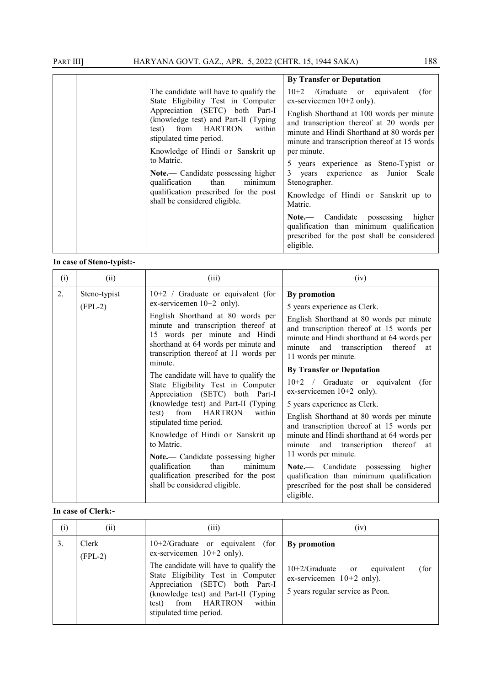|  |                                                                                                                                                                                                                    | <b>By Transfer or Deputation</b>                                                                                                                                                     |
|--|--------------------------------------------------------------------------------------------------------------------------------------------------------------------------------------------------------------------|--------------------------------------------------------------------------------------------------------------------------------------------------------------------------------------|
|  | The candidate will have to qualify the<br>State Eligibility Test in Computer<br>Appreciation (SETC) both Part-I<br>(knowledge test) and Part-II (Typing<br>test) from HARTRON<br>within<br>stipulated time period. | $10+2$ /Graduate or equivalent<br>(for<br>ex-servicemen $10+2$ only).                                                                                                                |
|  |                                                                                                                                                                                                                    | English Shorthand at 100 words per minute<br>and transcription thereof at 20 words per<br>minute and Hindi Shorthand at 80 words per<br>minute and transcription thereof at 15 words |
|  | Knowledge of Hindi or Sanskrit up<br>to Matric.<br>Note.— Candidate possessing higher<br>qualification<br>than<br>minimum<br>qualification prescribed for the post<br>shall be considered eligible.                | per minute.                                                                                                                                                                          |
|  |                                                                                                                                                                                                                    | 5 years experience as Steno-Typist or                                                                                                                                                |
|  |                                                                                                                                                                                                                    | 3 years experience as Junior Scale<br>Stenographer.                                                                                                                                  |
|  |                                                                                                                                                                                                                    | Knowledge of Hindi or Sanskrit up to<br>Matric.                                                                                                                                      |
|  |                                                                                                                                                                                                                    | Note.— Candidate possessing higher<br>qualification than minimum qualification<br>prescribed for the post shall be considered<br>eligible.                                           |

## **In case of Steno-typist:-**

| (i) | (ii)                      | (iii)                                                                                                                                                                                                                                                                                                                                                                                                                                                                                                                                                                                                                                                                                                        | (iv)                                                                                                                                                                                                                                                                                                                                                                                                                                                                                                                                                                                                                                                                                                                                                                |
|-----|---------------------------|--------------------------------------------------------------------------------------------------------------------------------------------------------------------------------------------------------------------------------------------------------------------------------------------------------------------------------------------------------------------------------------------------------------------------------------------------------------------------------------------------------------------------------------------------------------------------------------------------------------------------------------------------------------------------------------------------------------|---------------------------------------------------------------------------------------------------------------------------------------------------------------------------------------------------------------------------------------------------------------------------------------------------------------------------------------------------------------------------------------------------------------------------------------------------------------------------------------------------------------------------------------------------------------------------------------------------------------------------------------------------------------------------------------------------------------------------------------------------------------------|
| 2.  | Steno-typist<br>$(FPL-2)$ | $10+2$ / Graduate or equivalent (for<br>ex-servicemen $10+2$ only).<br>English Shorthand at 80 words per<br>minute and transcription thereof at<br>15 words per minute and Hindi<br>shorthand at 64 words per minute and<br>transcription thereof at 11 words per<br>minute.<br>The candidate will have to qualify the<br>State Eligibility Test in Computer<br>Appreciation (SETC) both Part-I<br>(knowledge test) and Part-II (Typing<br>from HARTRON<br>within<br>test)<br>stipulated time period.<br>Knowledge of Hindi or Sanskrit up<br>to Matric.<br>Note.- Candidate possessing higher<br>qualification<br>than<br>minimum<br>qualification prescribed for the post<br>shall be considered eligible. | By promotion<br>5 years experience as Clerk.<br>English Shorthand at 80 words per minute<br>and transcription thereof at 15 words per<br>minute and Hindi shorthand at 64 words per<br>thereof at<br>and transcription<br>minute<br>11 words per minute.<br><b>By Transfer or Deputation</b><br>$10+2$ / Graduate or equivalent<br>(for<br>ex-servicemen $10+2$ only).<br>5 years experience as Clerk.<br>English Shorthand at 80 words per minute<br>and transcription thereof at 15 words per<br>minute and Hindi shorthand at 64 words per<br>and transcription<br>thereof at<br>minute<br>11 words per minute.<br>Note.— Candidate possessing<br>higher<br>qualification than minimum qualification<br>prescribed for the post shall be considered<br>eligible. |

#### **In case of Clerk:-**

| (i) | $\left( \mathrm{ii}\right)$ | (iii)                                                                                                                                              | (iv)                                                             |
|-----|-----------------------------|----------------------------------------------------------------------------------------------------------------------------------------------------|------------------------------------------------------------------|
| 3.  | Clerk<br>$(FPL-2)$          | $10+2/G$ raduate or equivalent (for<br>ex-servicemen $10+2$ only).<br>The candidate will have to qualify the<br>State Eligibility Test in Computer | <b>By</b> promotion<br>$10+2/G$ raduate or<br>(for<br>equivalent |
|     |                             | Appreciation (SETC) both Part-I<br>(knowledge test) and Part-II (Typing<br>from HARTRON<br>within<br>test)<br>stipulated time period.              | ex-servicemen $10+2$ only).<br>5 years regular service as Peon.  |